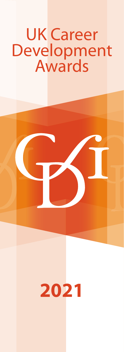# UK Career UK Career Development Awards Development Awards

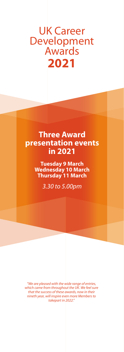### UK Career UK Career Development<br>Awards<br>**2021** Development Awards **2021**

### **Three Award presentation events in 2021**

**Tuesday 9 March Wednesday 10 March Thursday 11 March**

*3.30 to 5.00pm*

*"We are pleased with the wide range of entries, which came from throughout the UK. We feel sure that the success of these awards, now in their nineth year, will inspire even more Members to takepart in 2022."*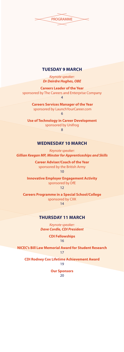

#### **TUESDAY 9 MARCH**

*Keynote speaker: Dr Deirdre Hughes, OBE*

**Careers Leader of the Year** sponsored by The Careers and Enterprise Company 4

> **Careers Services Manager of the Year** sponsored by LaunchYourCareer.com 6

**Use of Technology in Career Development** sponsored by Unifrog

8

#### **WEDNESDAY 10 MARCH**

*Keynote speaker: Gillian Keegan MP, Minster for Apprenticeships and Skills*

> **Career Adviser/Coach of the Year** sponsored by the British Army 10

**Innovative Employer Engagement Activity** sponsored by DfE

12

**Careers Programme in a Special School/College** sponsored by CXK  $14$ 

#### **THURSDAY 11 MARCH**

*Keynote speaker: Dave Cordle, CDI President*

> **CDI Fellowships** 16

**NICEC's Bill Law Memorial Award for Student Research** 17

**CDI Rodney Cox Lifetime Achievement Award** 19

> **Our Sponsors** 20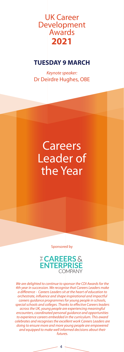

#### **TUESDAY 9 MARCH**

*Keynote speaker:* Dr Deirdre Hughes, OBE

### Careers Leader of the Year

Sponsored by



*We are delighted to continue to sponsor the CDI Awards for the 4th year in succession. We recognise that Careers Leaders make a diff erence - Careers Leaders sit at the heart of education to orchestrate, infl uence and shape inspirational and impactful careers guidance programmes for young people in schools, special schools and colleges. Thanks to eff ective Careers leaders across the UK, young people are experiencing meaningful encounters, coordinated personal guidance and opportunities to experience careers embedded in the curriculum. This award celebrates and recognises the excellent work Careers Leaders are doing to ensure more and more young people are empowered and equipped to make well informed decisions about their futures.*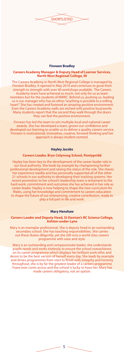

#### **Finneen Bradley**

#### **Careers Academy Manager & Deputy Head of Learner Services, North West Regional College, NI**

The Careers Academy in North West Regional College is managed by Finneen Bradley. It opened in May 2016 and continues to grow from strength to strength with over 40 workshops available. The Careers Academy team have achieved so much, not only for us as team members but for the students of NWRC. Behind us, pushing us, leading us is our manager who has an ethos "anything is possible to a willing heart". She has created and fostered an amazing positive environment. Even the Careers Academy walls are etched with positive buzzwords. Many students report that the second they walk through the doors they can feel the positive environment.

Finneen has led the team to win multiple local and national career awards. She has developed a team, grown our confidence and developed our learning to enable us to deliver a quality careers service. Finneen is motivational, innovative, creative, forward thinking and her approach is always student centred.

#### **Hayley Jacobs**

#### **Careers Leader, Bryn Celynnog School, Pontypridd**

Hayley has been key to the development of the career leader role in our local authority. She leads by example by championing further professional development and raising the status of the role. She shares her experience readily and has personally supported all of the other 21 schools in our authority in developing their tracking systems. Her recent promotion to her school's leadership team is testament to the hard work, commitment and outcomes she has achieved in her role as career leader. Hayley is now helping to shape the new curriculum for Wales, using her knowledge and commitment to careers education to shape the future of our enterprising, creative contributors, ready to play a full part in life and work.

#### **Mary Henshaw**

#### **Careers Leader and Deputy Head, St Damian's RC Science College, Ashton-under-Lyne**

Mary is an exemplar professional. She is deputy head in an outstanding secondary school. She has teaching responsibilities. She carries out these duties diligently, yet she still runs a world class careers programme with ease and style.

Mary is an outstanding and compassionate leader; she understands pupils needs and works tirelessly to ensure the school overachieves on its career programme which displays her brilliant work ethic and desire to be the best version of herself every day. She leads by example and drives programmes from start to finish with integrity and honesty throughout, she is by far the greatest leader of a careers programme I have ever come across and the school is lucky to have her. Mary has made careers obligatory, not an option.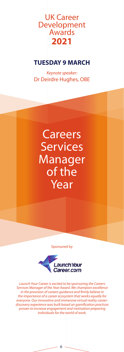

#### **TUESDAY 9 MARCH**

*Keynote speaker:* Dr Deirdre Hughes, OBE

**Careers** Services Manager of the Year

Sponsored by



*Launch Your Career is excited to be sponsoring the Careers Services Manager of the Year Award. We champion excellence*  in the provision of careers guidance and firmly believe in *the importance of a career ecosystem that works equally for everyone. Our innovative and immersive virtual reality careerdiscovery experience was built based on gamifi cation practices proven to increase engagement and motivation preparing individuals for the world of work.*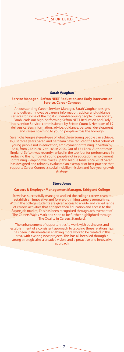

#### **Sarah Vaughan**

#### **Service Manager - Sefton NEET Reduction and Early Intervention Service, Career Connect**

An outstanding Career Services Manager, Sarah Vaughan designs and delivers innovative careers information, advice, and guidance services for some of the most vulnerable young people in our society. Sarah leads our high-performing Sefton NEET Reduction and Early Intervention Service, commissioned by Sefton Council. Her team of 19 delivers careers information, advice, guidance, personal development and career coaching to young people across the borough.

Sarah challenges stereotypes of what these young people can achieve. In just three years, Sarah and her team have reduced the total cohort of young people not in education, employment or training in Sefton by 35%, from 252 in 2017 to 163 in 2020. Out of 151 Local Authorities in England, Sefton was recently ranked in the top four for performance in reducing the number of young people not in education, employment or training - leaping five places up this league table since 2019. Sarah has designed and robustly evaluated an exemplar of best practice that supports Career Connect's social mobility mission and five-year growth strategy.

#### **Steve Jones**

#### **Careers & Employer Management Manager, Bridgend College**

Steve has successfully managed and led the college careers team to establish an innovative and forward-thinking careers programme. Within the college students are given access to a wide and varied range of careers activities that enhance their education and access to the future job market. This has been recognised through achievement of The Careers Wales Mark and soon to be further highlighted through The Quality in Careers Standard.

The enhancement of opportunities to work with businesses and establishment of a consistent approach to growing these relationships has been instrumental in enabling more work to be created in this area, with exciting new projects. This has all been led through a strong strategic aim, a creative vision, and a proactive and innovative approach.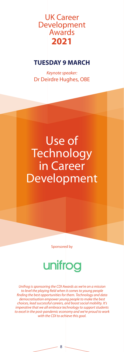

#### **TUESDAY 9 MARCH**

*Keynote speaker:* Dr Deirdre Hughes, OBE

### Use of **Technology** in Career Development

Sponsored by



*Unifrog is sponsoring the CDI Awards as we're on a mission*  to level the playing field when it comes to young people *fi nding the best opportunities for them. Technology and data democratisation empower young people to make the best choices, lead successful careers, and boost social mobility. It's imperative that we all embrace technology to support students to excel in the post-pandemic economy and we're proud to work with the CDI to achieve this goal.*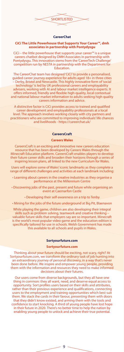

#### **CareerChat**

#### **CiCi The Little Powerhouse that Supports Your Career™, dmh associates in partnership with Pontydysgu**

CiCi – the little powerhouse that supports your career™ is a unique careers chatbot designed by DMH Associates in partnership with Pontydysgu. This innovation stems from the 'CareerTech Challenge competition run by NESTA in partnership with the Department for Education.

The CareerChat team has designed 'CiCi' to provide a personalised, guided career journey experience for adults aged 18+ in three cities – Derby, Bristol and Newcastle. This highly innovative form of 'social technology' is led by UK professional careers and employability advisers, working with AI and labour market intelligence experts. It offers informed, friendly and flexible high-quality, local contextual and national labour market information to adults seeking high quality careers information and advice.

A distinctive factor is CiCi provides access to trained and qualified career development and employability professionals at a local level. The approach involves working closely with city partners and practitioners who are committed to improving individuals' life chances and livelihoods - https://careerchat.uk/

#### **CareersCraft**

#### **Careers Wales**

CareersCraft is an exciting and innovative new careers education resource that has been developed by Careers Wales through the Minecraft Education platform. CareersCraft enables players to develop their future career skills and broaden their horizons through a series of inspiring lesson plans, all linked to the new Curriculum for Wales.

Users will explore some of Wales' iconic landmarks as they complete a range of different challenges and activities at each landmark including:

• Learning about careers in the creative industries as they organise a performance at the Millennium Centre

• Discovering jobs of the past, present and future while organising an event at Caernarfon Castle

• Developing their self-awareness on a trip to Tenby

• Mining for the jobs of the future underground at Big Pit, Blaenavon

While playing the game, children are also developing their integral skills such as problem solving, teamwork and creative thinking – valuable future skills that employers say are so important. Minecraft is the world's most popular video game and the education edition is specifically tailored for use in schools. Welsh Government has made this available to all schools and pupils in Wales.

#### **Sortyourfuture.com**

#### **Sortyourfuture.com**

Thinking about your future should be exciting, not scary, right? At Sortyourfuture.com, we transform the ordinary task of job hunting into an extraordinary journey of personal discovery, in a way that's never been done before. We inspire and empower young people, providing them with the information and resources they need to make informed decisions about their futures.

Our users come from diverse backgrounds, but they all have one thing in common: they all want, need, and deserve equal access to opportunity. Sort profiles users based on their skills and attributes, rather than their previous experience and qualifications, connecting users to the employment and training opportunities which best suit them. We stack the cards in their favour, presenting them with doors that they didn't know existed, and arming them with the tools and confidence to start knocking. A third of young people have lost hope in their future in 2020. There's no better time to help the nation by enabling young people to unlock and achieve their true potential.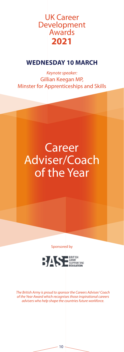

# **2021**<br>WEDNESDAY 10 MARCH **WEDNESDAY 10 MARCH**

*Keynote speaker:* Gillian Keegan MP, Minster for Apprenticeships and Skills

### Career Adviser/Coach of the Year

Sponsored by



*The British Army is proud to sponsor the Careers Adviser/ Coach of the Year Award which recognises those inspirational careers advisers who help shape the countries future workforce.*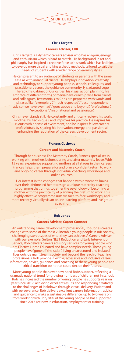

#### **Chris Targett**

#### **Careers Adviser, CXK**

Chris Targett is a dynamic careers adviser who has a vigour, energy and enthusiasm which is hard to match. His background in art and philosophy has inspired a creative force to his work which has led him to develop more visual and kinaesthetic methods, tailored to suit the needs of students with a wider range of learning styles.

He can present to an audience of students or parents with the same ease as with individual clients. He employs innovation, creativity, and technology to support young people, schools, colleagues, and practitioners across the guidance community. His adapted Lego Therapy, his Cabinet of Curiosities, his visual action planning, his embrace of different forms of media have drawn praise from clients and colleagues. Testimonials to Chris are peppered with words and phrases like: "exemplary", "much respected", "best independent advisor we have ever had", "goes above and beyond", "professional", "exceptional", "inspirational and passionate".

Chris never stands still. He constantly and critically reviews his work, modifies his techniques, and improves his practice. He inspires his clients with a sense of excitement, and he inspires fellow careers professionals by sharing his innovation, energy, and passion, all enhancing the reputation of the careers development sector.

#### **Frances Cushway**

#### **Careers and Maternity Coach**

Through her business The Maternity Coach, Frances specialises in working with mothers before, during and after maternity leave. With 15 years' experience supporting mothers at all stages in their careers, Frances helps them prepare for and plan a confident return to work and ongoing career through individual coaching, workshops and online courses.

Her interest in the changes that happen within women's brains over their lifetime led her to design a unique maternity coaching programme that brings together the psychology of becoming a mother with the practicality of planning their return to work. This highly effective programme runs via face-to-face workshops, and more recently virtually via an online learning platform and live group coaching.

#### **Rob Jones**

#### **Careers Adviser, Career Connect**

An outstanding career development professional, Rob Jones creates change with some of the most vulnerable young people in our society, challenging stereotypes of what they can achieve. A Careers Adviser with our exemplar Sefton NEET Reduction and Early Intervention Service, Rob delivers careers advisory services for young people who are Elective Home Educated and have complex needs. These young people have "gone off the radar", living unstructured and isolated lives outside mainstream society and beyond the reach of teaching professionals. Rob provides flexible, accessible and inclusive careers information, advice, guidance and coaching to these young people at a critical transition point that could decide their futures.

More young people than ever now need Rob's support, reflecting a dramatic national trend for growing numbers of children not in school. Rob has increased the number of young people he supports year on year since 2017, achieving excellent results and responding creatively to the challenges of lockdown through virtual delivery. Patient and with perseverance, Rob delivers excellent careers information, advice and guidance to make a sustainable difference; up to two years on from working with Rob, 84% of the young people he has supported since 2017 are now in education, employment or training.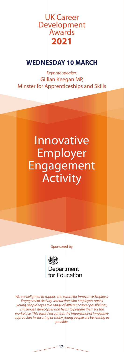

# **2021**<br>WEDNESDAY 10 MARCH **WEDNESDAY 10 MARCH**

*Keynote speaker:* Gillian Keegan MP, Minster for Apprenticeships and Skills

### Innovative Employer Engagement **Activity**

Sponsored by



*We are delighted to support the award for Innovative Employer Engagement Activity. Interaction with employers opens young people's eyes to a range of different career possibilities, challenges stereotypes and helps to prepare them for the workplace. This award recognises the importance of innovative approaches in ensuring as many young people are benefi ting as possible.*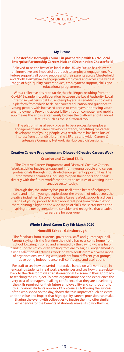

#### **My Future**

#### **Chesterfield Borough Council in partnership with D2N2 Local Enterprise Partnership Careers Hub and Destination Chesterfield**

Believed to be the first of its kind in the UK, My Future has delivered an innovative and impactful approach to employer engagement. My Future supports all young people and their parents across Chesterfield and North Derbyshire to engage with employers and access the widest range of high-quality careers advice, employment support, skills and educational programmes.

With a collective desire to tackle the challenges resulting from the Covid-19 pandemic, collaboration between the Local Authority, Local Enterprise Partnership (LEP), and employers has enabled us to create a platform from which to deliver careers education and guidance to young people, with increased access to employers, addressing youth unemployment. Providing accessibility through computer and mobile app means the end user can easily browse the platform and its added features, such as the self-referral tool.

The platform has already proven to be a successful employer engagement and career development tool, benefiting the career development of young people. As a result, there has been lots of interest from other districts in the LEP area and wider Careers & Enterprise Company Network via Hub Lead discussions.

#### **Creative Careers Programme and Discover! Creative Careers Week**

#### **Creative and Cultural Skills**

The Creative Careers Programme and Discover! Creative Careers Week activities inspire, engage and inform young people and careers professionals through industry-led engagement opportunities. The programme encourages industry to open their doors and speak directly with the future workforce about the realities of working in the creative sector today.

Through this, the industry has put itself at the heart of helping to inspire and inform young people about the breadth of roles across the creative industries. Discover! Creative Careers Week supports a diverse range of young people to learn about real jobs from those that do them, shining a light on the wide range of skills the sector needs and inspiring the next generation to consider and recognise that creative careers are for everyone

#### **Whole School Career Day 5th March 2020**

#### **Huntcliff School, Gainsborough**

The feedback from students, governors, staff, and guests says it all. Parents saying it is the first time their child has ever come home from school 'buzzing', inspired and animated by the day. To witness firsthand: hundreds of children smiling from ear to ear; full engagement in a wide selection of activities; working with adults from a diverse range of organisations; working with students from different year groups; developing independence, self-confidence and aspirations.

For staff to see how powerful interactive hands-on workshops are in engaging students in real work experiences and see how these relate back to the classroom was transformational for some in their approach to teaching their subject. To have organisations see and experience the very best of teenagers, instilling confidence that they are developing the skills required for their future employability and contributing to this. To know students now in Y12 on courses, following the success of the workshops on the day, shows the true impact of such an event and the value and impact that high-quality careers provision can make. Sharing the event with colleagues to inspire them to offer similar experiences for the benefits of students makes it so worthwhile.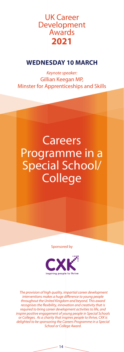

# **2021**<br>WEDNESDAY 10 MARCH **WEDNESDAY 10 MARCH**

*Keynote speaker:* Gillian Keegan MP, Minster for Apprenticeships and Skills

### **Careers** Programme in a Special School/ College

Sponsored by



 *The provision of high quality, impartial career development interventions makes a huge difference to young people throughout the United Kingdom and beyond. This award recognises the flexibility, innovation and creativity that is required to bring career development activities to life, and inspire positive engagement of young people in Special Schools or Colleges. As a charity that inspires people to thrive, CXK is delighted to be sponsoring the Careers Programme in a Special School or College Award.*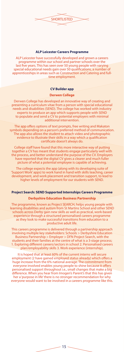

#### **ALP Leicester Careers Programme**

ALP Leicester have successfully developed and grown a careers programme within our school and partner schools over the last five years. This has seen over 50 young people with varying special educational needs gain over 50 qualifications, a number of apprenticeships in areas such as Construction and Catering and fulltime employment.

#### **CV Builder app**

#### **Derwen College**

Derwen College has developed an innovative way of creating and presenting a curriculum vitae from a person with special educational needs and disabilities (SEND). The college has worked with industry experts to produce an app which supports people with SEND to populate and send a CV to potential employers with minimal additional intervention.

The app offers options of text prompts, free writing and Makaton symbols depending on a person's preferred method of communication. The app also allows the student to attach video and photographic evidence to illustrate their skills in a way which a qualification certificate doesn't always do.

College staff have found that this more interactive way of putting together a CV has meant that students engage particularly well with the process, and better understand the purpose of the CV. Employers have reported that the digital CV gives a clearer and much fuller picture of what a potential employee is capable of achieving.

The college expects the app (along with its developing suite of 'Support Work' apps) to work hand in hand with skills teaching, career development, and work placement and transition support, to lead to higher levels of employment for our students with SEND.

#### **Project Search: SEND Supported Internships Careers Programme**

**Derbyshire Education Business Partnership**

The programme, known as Project SEARCH, helps young people with learning disabilities and autism from St Martins School and other SEND schools across Derby gain new skills as well as practical, work-based experience through a structured personalised careers programme as they look to make successful transitions from education to a productive adult life.

This careers programme is delivered through a partnership approach involving multiple key stakeholders: Schools > Derbyshire Education Business Partnership > Employer > DFN Project Search, with the students and their families at the centre of what is a 3-stage process; 1. Exploring different careers/sectors in school 2. Personalised careers plan/employability skills 3. Work experience (internship).

It is hoped that at least 60% of the current interns will secure employment (2 have gained employed status already) which offers a huge increase from the 6% national average. The commitment from everyone involved enables young people to shine because it offers personalised support throughout i.e., small changes that make a big difference. When you hear from Imogen's Parent's that this has given her a 'purpose in life' there is no stronger recommendation for why everyone would want to be involved in a careers programme like this.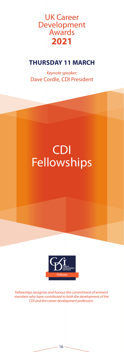

#### **THURSDAY 11 MARCH**

*Keynote speaker:* Dave Cordle, CDI President

### CDI **Fellowships**



*Fellowships recognise and honour the commitment of eminent members who have contributed to both the development of the CDI and the career development profession.*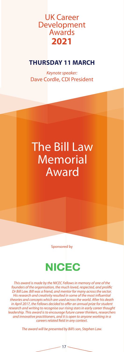

#### **THURSDAY 11 MARCH**

*Keynote speaker:* Dave Cordle, CDI President

### The Bill Law Memorial Award



Sponsored by<br>
e NICEC Fellow<br>
per NICEC Fellow<br>
per nuch lot<br>
d, and mentor is<br>
y resulted in so<br>
per nuch according<br>
per nuch according<br>
per nuch according<br>
per nuch according<br>
per nuch according<br>
per nuch actording<br>
per *This award is made by the NICEC Fellows in memory of one of the*  founders of the organisation, the much loved, respected, and prolific *Dr Bill Law. Bill was a friend, and mentor for many across the sector. His research and creativity resulted in some of the most infl uential theories and concepts which are used across the world. After his death*  in April 2017, the Fellows decided to offer an annual prize for student *research and writing to recognise our rising stars in early career thought*  leadership. This award is to encourage future career thinkers, researchers *and innovative practitioners, and it is open to anyone working in a*  careers related field in any context.

*The award will be presented by Bill's son, Stephen Law.*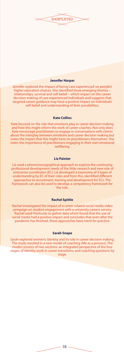

#### **Jennifer Harper**

Jennifer explored the impact of being 'care experienced' on people's higher education choices. She identified three emerging themes relationships, survival and self-belief – which impact on the career decision-making of care experienced individuals and suggests that targeted career guidance may have a positive impact on individuals' self-belief and understanding of their possibilities.

#### **Kate Collins**

Kate focused on the role that emotions play in career decision making and how this might inform the work of career coaches. Not only does Kate encourage practitioners to engage in conversations with clients about the interplay between emotions and career decision making but notes the impact that this might have on practitioners themselves. She notes the importance of practitioners engaging in their own emotional wellbeing.

#### **Liz Painter**

Liz used a phenomonographical approach to explore the continuing professional development needs of the little-research and new role of enterprise coordinator (EC). Liz developed a taxonomy of 4 types of understanding by EC of their roles and from this, identified different approaches to recruitment, training and development for ECs. The framework can also be used to develop a competency framework for the role.

#### **Rachel Spittle**

Rachel investigated the impact of a career related social media video campaign on student engagement with a university careers service. Rachel used Hootsuite to gather data which found that the use of social media had a positive impact and concludes that even after the pandemic has finished, these approaches have merit for practice.

#### **Sarah Snape**

Sarah explored women's identity and its role in career decision making. The study resulted in a new model of coaching (Me as a process). The model consists of two sections: an integrated perspective of the four stages of identity work in career transitions; and coaching questions by stage.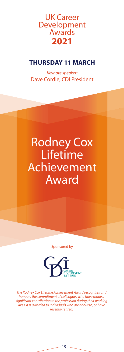

#### **THURSDAY 11 MARCH**

*Keynote speaker:* Dave Cordle, CDI President

### Rodney Cox Lifetime Achievement Award

Sponsored by



*The Rodney Cox Lifetime Achievement Award recognises and honours the commitment of colleagues who have made a signifi cant contribution to the profession during their working lives. It is awarded to individuals who are about to, or have recently retired.*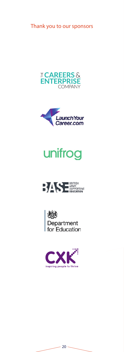Thank you to our sponsors